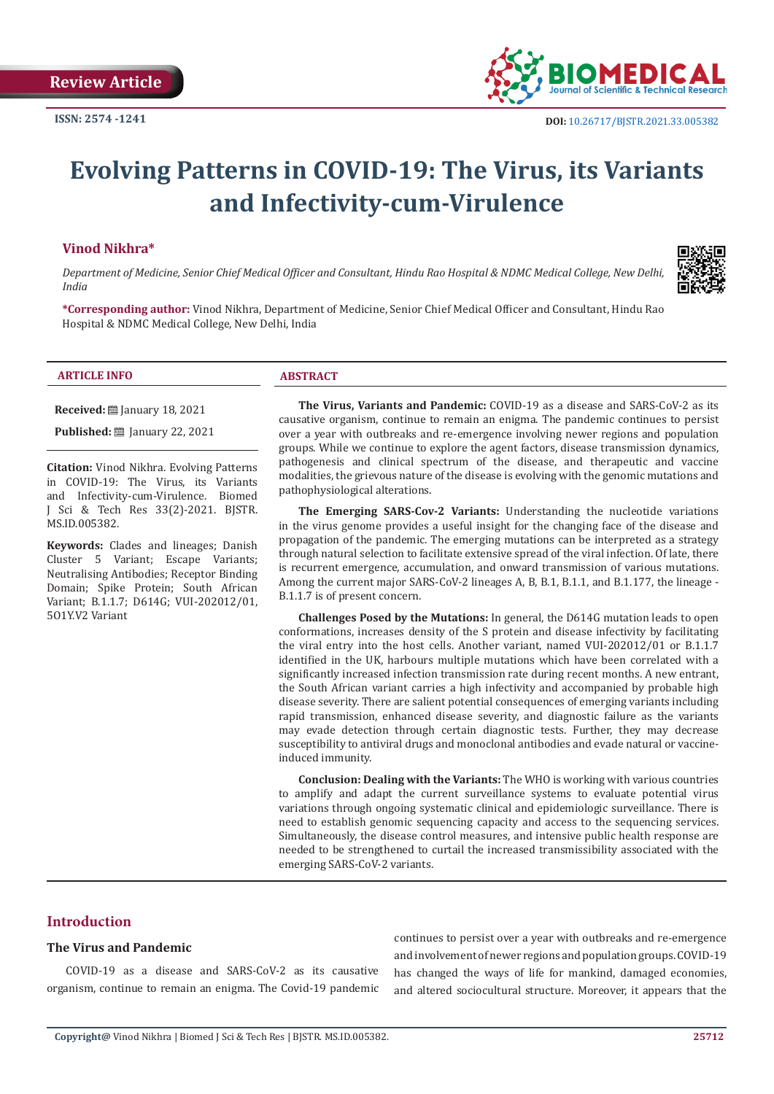

# **Evolving Patterns in COVID-19: The Virus, its Variants and Infectivity-cum-Virulence**

# **Vinod Nikhra\***

*Department of Medicine, Senior Chief Medical Officer and Consultant, Hindu Rao Hospital & NDMC Medical College, New Delhi, India*



**\*Corresponding author:** Vinod Nikhra, Department of Medicine, Senior Chief Medical Officer and Consultant, Hindu Rao Hospital & NDMC Medical College, New Delhi, India

#### **ARTICLE INFO ABSTRACT**

**Received:** ■ January 18, 2021

**Published:** ■ January 22, 2021

**Citation:** Vinod Nikhra. Evolving Patterns in COVID-19: The Virus, its Variants and Infectivity-cum-Virulence. Biomed J Sci & Tech Res 33(2)-2021. BJSTR. MS.ID.005382.

**Keywords:** Clades and lineages; Danish Cluster 5 Variant; Escape Variants; Neutralising Antibodies; Receptor Binding Domain; Spike Protein; South African Variant; B.1.1.7; D614G; VUI-202012/01, 5O1Y.V2 Variant

**The Virus, Variants and Pandemic:** COVID-19 as a disease and SARS-CoV-2 as its causative organism, continue to remain an enigma. The pandemic continues to persist over a year with outbreaks and re-emergence involving newer regions and population groups. While we continue to explore the agent factors, disease transmission dynamics, pathogenesis and clinical spectrum of the disease, and therapeutic and vaccine modalities, the grievous nature of the disease is evolving with the genomic mutations and pathophysiological alterations.

**The Emerging SARS-Cov-2 Variants:** Understanding the nucleotide variations in the virus genome provides a useful insight for the changing face of the disease and propagation of the pandemic. The emerging mutations can be interpreted as a strategy through natural selection to facilitate extensive spread of the viral infection. Of late, there is recurrent emergence, accumulation, and onward transmission of various mutations. Among the current major SARS-CoV-2 lineages A, B, B.1, B.1.1, and B.1.177, the lineage - B.1.1.7 is of present concern.

**Challenges Posed by the Mutations:** In general, the D614G mutation leads to open conformations, increases density of the S protein and disease infectivity by facilitating the viral entry into the host cells. Another variant, named VUI-202012/01 or B.1.1.7 identified in the UK, harbours multiple mutations which have been correlated with a significantly increased infection transmission rate during recent months. A new entrant, the South African variant carries a high infectivity and accompanied by probable high disease severity. There are salient potential consequences of emerging variants including rapid transmission, enhanced disease severity, and diagnostic failure as the variants may evade detection through certain diagnostic tests. Further, they may decrease susceptibility to antiviral drugs and monoclonal antibodies and evade natural or vaccineinduced immunity.

**Conclusion: Dealing with the Variants:** The WHO is working with various countries to amplify and adapt the current surveillance systems to evaluate potential virus variations through ongoing systematic clinical and epidemiologic surveillance. There is need to establish genomic sequencing capacity and access to the sequencing services. Simultaneously, the disease control measures, and intensive public health response are needed to be strengthened to curtail the increased transmissibility associated with the emerging SARS-CoV-2 variants.

# **Introduction**

# **The Virus and Pandemic**

COVID-19 as a disease and SARS-CoV-2 as its causative organism, continue to remain an enigma. The Covid-19 pandemic

continues to persist over a year with outbreaks and re-emergence and involvement of newer regions and population groups. COVID-19 has changed the ways of life for mankind, damaged economies, and altered sociocultural structure. Moreover, it appears that the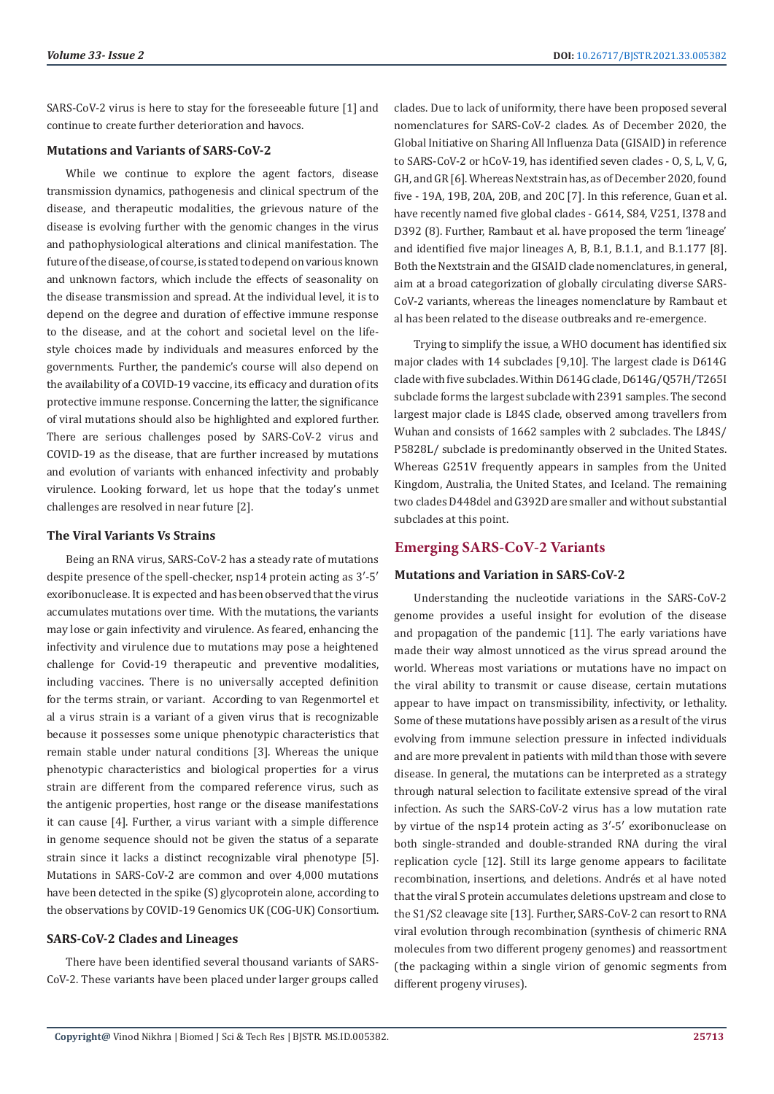SARS-CoV-2 virus is here to stay for the foreseeable future [1] and continue to create further deterioration and havocs.

# **Mutations and Variants of SARS-CoV-2**

While we continue to explore the agent factors, disease transmission dynamics, pathogenesis and clinical spectrum of the disease, and therapeutic modalities, the grievous nature of the disease is evolving further with the genomic changes in the virus and pathophysiological alterations and clinical manifestation. The future of the disease, of course, is stated to depend on various known and unknown factors, which include the effects of seasonality on the disease transmission and spread. At the individual level, it is to depend on the degree and duration of effective immune response to the disease, and at the cohort and societal level on the lifestyle choices made by individuals and measures enforced by the governments. Further, the pandemic's course will also depend on the availability of a COVID-19 vaccine, its efficacy and duration of its protective immune response. Concerning the latter, the significance of viral mutations should also be highlighted and explored further. There are serious challenges posed by SARS-CoV-2 virus and COVID-19 as the disease, that are further increased by mutations and evolution of variants with enhanced infectivity and probably virulence. Looking forward, let us hope that the today's unmet challenges are resolved in near future [2].

# **The Viral Variants Vs Strains**

Being an RNA virus, SARS-CoV-2 has a steady rate of mutations despite presence of the spell-checker, nsp14 protein acting as 3′-5′ exoribonuclease. It is expected and has been observed that the virus accumulates mutations over time. With the mutations, the variants may lose or gain infectivity and virulence. As feared, enhancing the infectivity and virulence due to mutations may pose a heightened challenge for Covid-19 therapeutic and preventive modalities, including vaccines. There is no universally accepted definition for the terms strain, or variant. According to van Regenmortel et al a virus strain is a variant of a given virus that is recognizable because it possesses some unique phenotypic characteristics that remain stable under natural conditions [3]. Whereas the unique phenotypic characteristics and biological properties for a virus strain are different from the compared reference virus, such as the antigenic properties, host range or the disease manifestations it can cause [4]. Further, a virus variant with a simple difference in genome sequence should not be given the status of a separate strain since it lacks a distinct recognizable viral phenotype [5]. Mutations in SARS-CoV-2 are common and over 4,000 mutations have been detected in the spike (S) glycoprotein alone, according to the observations by COVID-19 Genomics UK (COG-UK) Consortium.

# **SARS-CoV-2 Clades and Lineages**

There have been identified several thousand variants of SARS-CoV-2. These variants have been placed under larger groups called clades. Due to lack of uniformity, there have been proposed several nomenclatures for SARS-CoV-2 clades. As of December 2020, the Global Initiative on Sharing All Influenza Data (GISAID) in reference to SARS-CoV-2 or hCoV-19, has identified seven clades - O, S, L, V, G, GH, and GR [6]. Whereas Nextstrain has, as of December 2020, found five - 19A, 19B, 20A, 20B, and 20C [7]. In this reference, Guan et al. have recently named five global clades - G614, S84, V251, I378 and D392 (8). Further, Rambaut et al. have proposed the term 'lineage' and identified five major lineages A, B, B.1, B.1.1, and B.1.177 [8]. Both the Nextstrain and the GISAID clade nomenclatures, in general, aim at a broad categorization of globally circulating diverse SARS-CoV-2 variants, whereas the lineages nomenclature by Rambaut et al has been related to the disease outbreaks and re-emergence.

Trying to simplify the issue, a WHO document has identified six major clades with 14 subclades [9,10]. The largest clade is D614G clade with five subclades. Within D614G clade, D614G/Q57H/T265I subclade forms the largest subclade with 2391 samples. The second largest major clade is L84S clade, observed among travellers from Wuhan and consists of 1662 samples with 2 subclades. The L84S/ P5828L/ subclade is predominantly observed in the United States. Whereas G251V frequently appears in samples from the United Kingdom, Australia, the United States, and Iceland. The remaining two clades D448del and G392D are smaller and without substantial subclades at this point.

# **Emerging SARS-CoV-2 Variants**

# **Mutations and Variation in SARS-CoV-2**

Understanding the nucleotide variations in the SARS-CoV-2 genome provides a useful insight for evolution of the disease and propagation of the pandemic [11]. The early variations have made their way almost unnoticed as the virus spread around the world. Whereas most variations or mutations have no impact on the viral ability to transmit or cause disease, certain mutations appear to have impact on transmissibility, infectivity, or lethality. Some of these mutations have possibly arisen as a result of the virus evolving from immune selection pressure in infected individuals and are more prevalent in patients with mild than those with severe disease. In general, the mutations can be interpreted as a strategy through natural selection to facilitate extensive spread of the viral infection. As such the SARS-CoV-2 virus has a low mutation rate by virtue of the nsp14 protein acting as 3′-5′ exoribonuclease on both single-stranded and double-stranded RNA during the viral replication cycle [12]. Still its large genome appears to facilitate recombination, insertions, and deletions. Andrés et al have noted that the viral S protein accumulates deletions upstream and close to the S1/S2 cleavage site [13]. Further, SARS-CoV-2 can resort to RNA viral evolution through recombination (synthesis of chimeric RNA molecules from two different progeny genomes) and reassortment (the packaging within a single virion of genomic segments from different progeny viruses).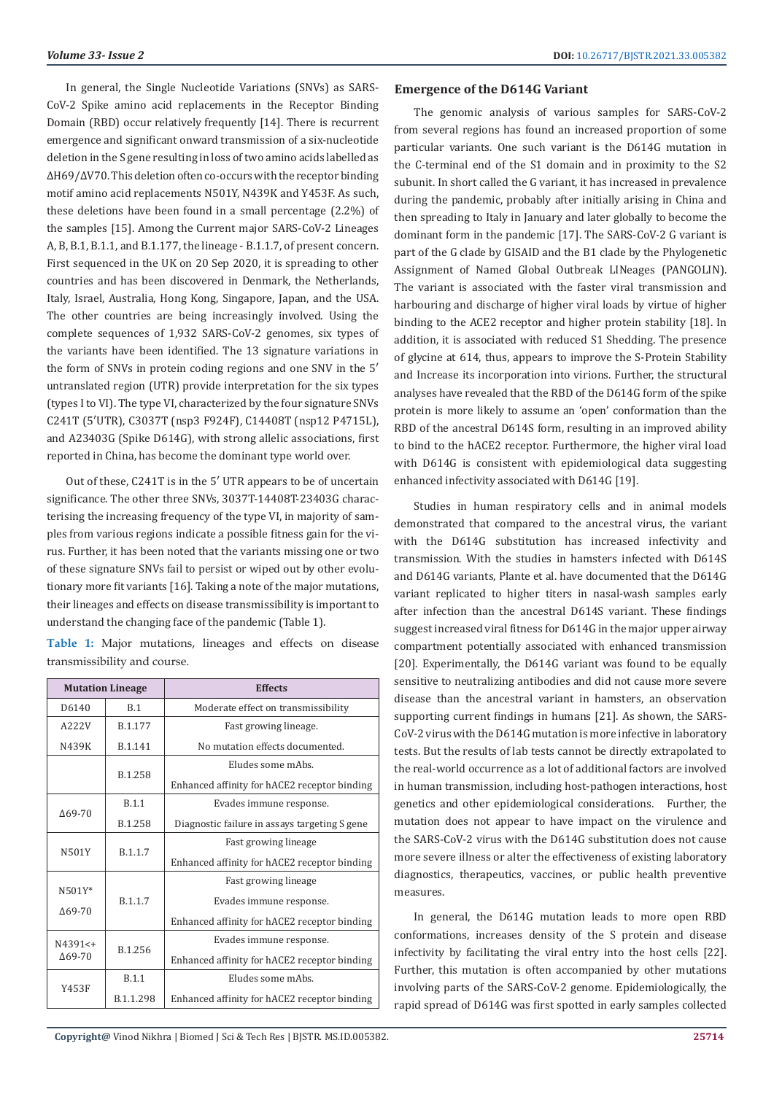**Volume 33- Issue 2 DOI: [10.26717/BJSTR.2021.33.00538](http://dx.doi.org/10.26717/BJSTR.2021.33.005382)2** 

In general, the Single Nucleotide Variations (SNVs) as SARS-CoV-2 Spike amino acid replacements in the Receptor Binding Domain (RBD) occur relatively frequently [14]. There is recurrent emergence and significant onward transmission of a six-nucleotide deletion in the S gene resulting in loss of two amino acids labelled as ΔH69/ΔV70. This deletion often co-occurs with the receptor binding motif amino acid replacements N501Y, N439K and Y453F. As such, these deletions have been found in a small percentage (2.2%) of the samples [15]. Among the Current major SARS-CoV-2 Lineages A, B, B.1, B.1.1, and B.1.177, the lineage - B.1.1.7, of present concern. First sequenced in the UK on 20 Sep 2020, it is spreading to other countries and has been discovered in Denmark, the Netherlands, Italy, Israel, Australia, Hong Kong, Singapore, Japan, and the USA. The other countries are being increasingly involved. Using the complete sequences of 1,932 SARS-CoV-2 genomes, six types of the variants have been identified. The 13 signature variations in the form of SNVs in protein coding regions and one SNV in the 5′ untranslated region (UTR) provide interpretation for the six types (types I to VI). The type VI, characterized by the four signature SNVs C241T (5′UTR), C3037T (nsp3 F924F), C14408T (nsp12 P4715L), and A23403G (Spike D614G), with strong allelic associations, first reported in China, has become the dominant type world over.

Out of these, C241T is in the 5′ UTR appears to be of uncertain significance. The other three SNVs, 3037T-14408T-23403G characterising the increasing frequency of the type VI, in majority of samples from various regions indicate a possible fitness gain for the virus. Further, it has been noted that the variants missing one or two of these signature SNVs fail to persist or wiped out by other evolutionary more fit variants [16]. Taking a note of the major mutations, their lineages and effects on disease transmissibility is important to understand the changing face of the pandemic (Table 1).

**Table 1:** Major mutations, lineages and effects on disease transmissibility and course.

| <b>Mutation Lineage</b>     |              | <b>Effects</b>                                |  |
|-----------------------------|--------------|-----------------------------------------------|--|
| D6140                       | B.1          | Moderate effect on transmissibility           |  |
| A222V                       | B.1.177      | Fast growing lineage.                         |  |
| N439K                       | B.1.141      | No mutation effects documented.               |  |
|                             | B.1.258      | Eludes some mAbs.                             |  |
|                             |              | Enhanced affinity for hACE2 receptor binding  |  |
| $\Delta$ 69-70              | <b>B.1.1</b> | Evades immune response.                       |  |
|                             | B.1.258      | Diagnostic failure in assays targeting S gene |  |
| N501Y                       | B.1.1.7      | Fast growing lineage                          |  |
|                             |              | Enhanced affinity for hACE2 receptor binding  |  |
|                             |              | Fast growing lineage                          |  |
| $N501Y*$<br>$\Delta$ 69-70  | B.1.1.7      | Evades immune response.                       |  |
|                             |              | Enhanced affinity for hACE2 receptor binding  |  |
| $N4391<+$<br>$\Delta$ 69-70 | B.1.256      | Evades immune response.                       |  |
|                             |              | Enhanced affinity for hACE2 receptor binding  |  |
| Y453F                       | <b>B.1.1</b> | Eludes some mAbs.                             |  |
|                             | B.1.1.298    | Enhanced affinity for hACE2 receptor binding  |  |

#### **Emergence of the D614G Variant**

The genomic analysis of various samples for SARS-CoV-2 from several regions has found an increased proportion of some particular variants. One such variant is the D614G mutation in the C-terminal end of the S1 domain and in proximity to the S2 subunit. In short called the G variant, it has increased in prevalence during the pandemic, probably after initially arising in China and then spreading to Italy in January and later globally to become the dominant form in the pandemic [17]. The SARS-CoV-2 G variant is part of the G clade by GISAID and the B1 clade by the Phylogenetic Assignment of Named Global Outbreak LINeages (PANGOLIN). The variant is associated with the faster viral transmission and harbouring and discharge of higher viral loads by virtue of higher binding to the ACE2 receptor and higher protein stability [18]. In addition, it is associated with reduced S1 Shedding. The presence of glycine at 614, thus, appears to improve the S-Protein Stability and Increase its incorporation into virions. Further, the structural analyses have revealed that the RBD of the D614G form of the spike protein is more likely to assume an 'open' conformation than the RBD of the ancestral D614S form, resulting in an improved ability to bind to the hACE2 receptor. Furthermore, the higher viral load with D614G is consistent with epidemiological data suggesting enhanced infectivity associated with D614G [19].

Studies in human respiratory cells and in animal models demonstrated that compared to the ancestral virus, the variant with the D614G substitution has increased infectivity and transmission. With the studies in hamsters infected with D614S and D614G variants, Plante et al. have documented that the D614G variant replicated to higher titers in nasal-wash samples early after infection than the ancestral D614S variant. These findings suggest increased viral fitness for D614G in the major upper airway compartment potentially associated with enhanced transmission [20]. Experimentally, the D614G variant was found to be equally sensitive to neutralizing antibodies and did not cause more severe disease than the ancestral variant in hamsters, an observation supporting current findings in humans [21]. As shown, the SARS-CoV-2 virus with the D614G mutation is more infective in laboratory tests. But the results of lab tests cannot be directly extrapolated to the real-world occurrence as a lot of additional factors are involved in human transmission, including host-pathogen interactions, host genetics and other epidemiological considerations. Further, the mutation does not appear to have impact on the virulence and the SARS-CoV-2 virus with the D614G substitution does not cause more severe illness or alter the effectiveness of existing laboratory diagnostics, therapeutics, vaccines, or public health preventive measures.

In general, the D614G mutation leads to more open RBD conformations, increases density of the S protein and disease infectivity by facilitating the viral entry into the host cells [22]. Further, this mutation is often accompanied by other mutations involving parts of the SARS-CoV-2 genome. Epidemiologically, the rapid spread of D614G was first spotted in early samples collected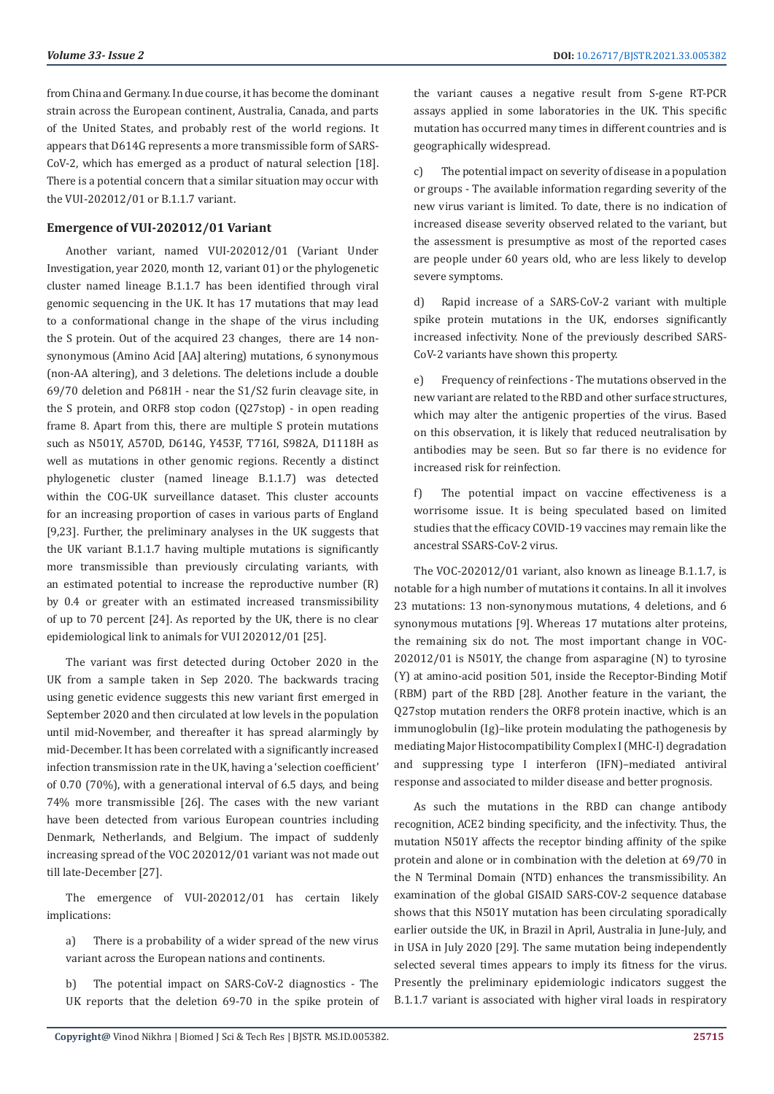from China and Germany. In due course, it has become the dominant strain across the European continent, Australia, Canada, and parts of the United States, and probably rest of the world regions. It appears that D614G represents a more transmissible form of SARS-CoV-2, which has emerged as a product of natural selection [18]. There is a potential concern that a similar situation may occur with the VUI-202012/01 or B.1.1.7 variant.

# **Emergence of VUI-202012/01 Variant**

Another variant, named VUI-202012/01 (Variant Under Investigation, year 2020, month 12, variant 01) or the phylogenetic cluster named lineage B.1.1.7 has been identified through viral genomic sequencing in the UK. It has 17 mutations that may lead to a conformational change in the shape of the virus including the S protein. Out of the acquired 23 changes, there are 14 nonsynonymous (Amino Acid [AA] altering) mutations, 6 synonymous (non-AA altering), and 3 deletions. The deletions include a double 69/70 deletion and P681H - near the S1/S2 furin cleavage site, in the S protein, and ORF8 stop codon (Q27stop) - in open reading frame 8. Apart from this, there are multiple S protein mutations such as N501Y, A570D, D614G, Y453F, T716I, S982A, D1118H as well as mutations in other genomic regions. Recently a distinct phylogenetic cluster (named lineage B.1.1.7) was detected within the COG-UK surveillance dataset. This cluster accounts for an increasing proportion of cases in various parts of England [9,23]. Further, the preliminary analyses in the UK suggests that the UK variant B.1.1.7 having multiple mutations is significantly more transmissible than previously circulating variants, with an estimated potential to increase the reproductive number (R) by 0.4 or greater with an estimated increased transmissibility of up to 70 percent [24]. As reported by the UK, there is no clear epidemiological link to animals for VUI 202012/01 [25].

The variant was first detected during October 2020 in the UK from a sample taken in Sep 2020. The backwards tracing using genetic evidence suggests this new variant first emerged in September 2020 and then circulated at low levels in the population until mid-November, and thereafter it has spread alarmingly by mid-December. It has been correlated with a significantly increased infection transmission rate in the UK, having a 'selection coefficient' of 0.70 (70%), with a generational interval of 6.5 days, and being 74% more transmissible [26]. The cases with the new variant have been detected from various European countries including Denmark, Netherlands, and Belgium. The impact of suddenly increasing spread of the VOC 202012/01 variant was not made out till late-December [27].

The emergence of VUI-202012/01 has certain likely implications:

a) There is a probability of a wider spread of the new virus variant across the European nations and continents.

b) The potential impact on SARS-CoV-2 diagnostics - The UK reports that the deletion 69-70 in the spike protein of

the variant causes a negative result from S-gene RT-PCR assays applied in some laboratories in the UK. This specific mutation has occurred many times in different countries and is geographically widespread.

c) The potential impact on severity of disease in a population or groups - The available information regarding severity of the new virus variant is limited. To date, there is no indication of increased disease severity observed related to the variant, but the assessment is presumptive as most of the reported cases are people under 60 years old, who are less likely to develop severe symptoms.

d) Rapid increase of a SARS-CoV-2 variant with multiple spike protein mutations in the UK, endorses significantly increased infectivity. None of the previously described SARS-CoV-2 variants have shown this property.

e) Frequency of reinfections - The mutations observed in the new variant are related to the RBD and other surface structures, which may alter the antigenic properties of the virus. Based on this observation, it is likely that reduced neutralisation by antibodies may be seen. But so far there is no evidence for increased risk for reinfection.

f) The potential impact on vaccine effectiveness is a worrisome issue. It is being speculated based on limited studies that the efficacy COVID-19 vaccines may remain like the ancestral SSARS-CoV-2 virus.

The VOC-202012/01 variant, also known as lineage B.1.1.7, is notable for a high number of mutations it contains. In all it involves 23 mutations: 13 non-synonymous mutations, 4 deletions, and 6 synonymous mutations [9]. Whereas 17 mutations alter proteins, the remaining six do not. The most important change in VOC-202012/01 is N501Y, the change from asparagine (N) to tyrosine (Y) at amino-acid position 501, inside the Receptor-Binding Motif (RBM) part of the RBD [28]. Another feature in the variant, the Q27stop mutation renders the ORF8 protein inactive, which is an immunoglobulin (Ig)–like protein modulating the pathogenesis by mediating Major Histocompatibility Complex I (MHC-I) degradation and suppressing type I interferon (IFN)–mediated antiviral response and associated to milder disease and better prognosis.

As such the mutations in the RBD can change antibody recognition, ACE2 binding specificity, and the infectivity. Thus, the mutation N501Y affects the receptor binding affinity of the spike protein and alone or in combination with the deletion at 69/70 in the N Terminal Domain (NTD) enhances the transmissibility. An examination of the global GISAID SARS-COV-2 sequence database shows that this N501Y mutation has been circulating sporadically earlier outside the UK, in Brazil in April, Australia in June-July, and in USA in July 2020 [29]. The same mutation being independently selected several times appears to imply its fitness for the virus. Presently the preliminary epidemiologic indicators suggest the B.1.1.7 variant is associated with higher viral loads in respiratory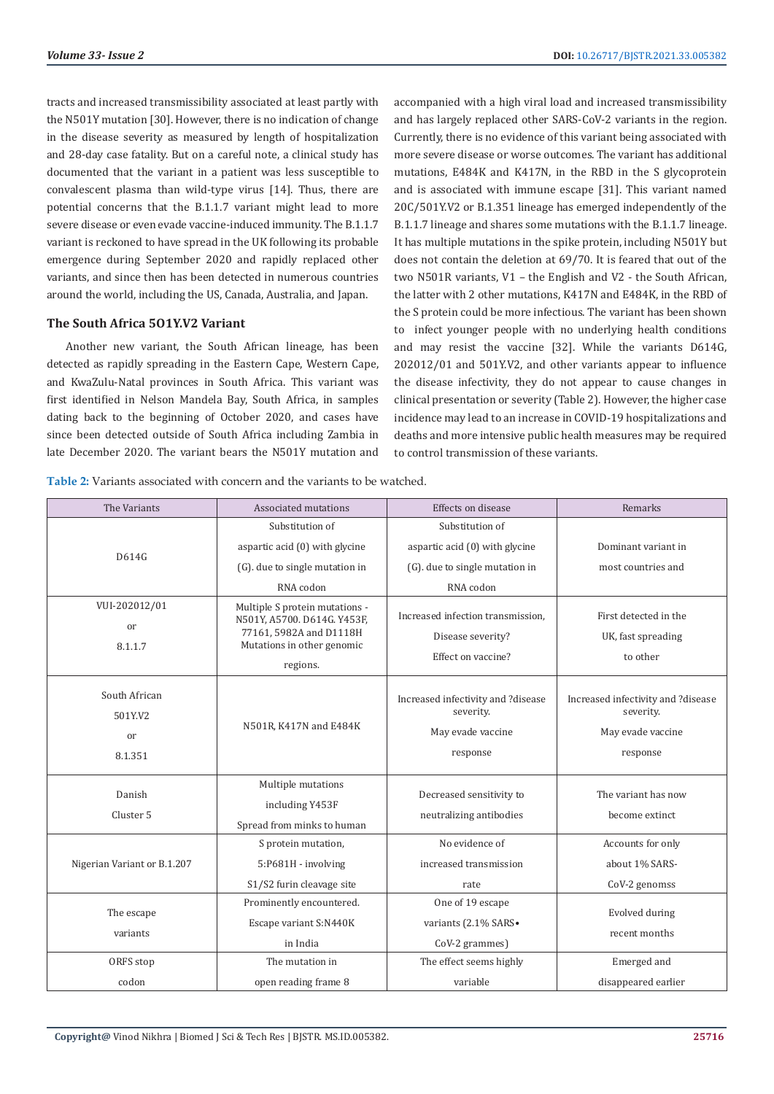tracts and increased transmissibility associated at least partly with the N501Y mutation [30]. However, there is no indication of change in the disease severity as measured by length of hospitalization and 28-day case fatality. But on a careful note, a clinical study has documented that the variant in a patient was less susceptible to convalescent plasma than wild-type virus [14]. Thus, there are potential concerns that the B.1.1.7 variant might lead to more severe disease or even evade vaccine-induced immunity. The B.1.1.7 variant is reckoned to have spread in the UK following its probable emergence during September 2020 and rapidly replaced other variants, and since then has been detected in numerous countries around the world, including the US, Canada, Australia, and Japan.

# **The South Africa 5O1Y.V2 Variant**

Another new variant, the South African lineage, has been detected as rapidly spreading in the Eastern Cape, Western Cape, and KwaZulu-Natal provinces in South Africa. This variant was first identified in Nelson Mandela Bay, South Africa, in samples dating back to the beginning of October 2020, and cases have since been detected outside of South Africa including Zambia in late December 2020. The variant bears the N501Y mutation and

accompanied with a high viral load and increased transmissibility and has largely replaced other SARS-CoV-2 variants in the region. Currently, there is no evidence of this variant being associated with more severe disease or worse outcomes. The variant has additional mutations, E484K and K417N, in the RBD in the S glycoprotein and is associated with immune escape [31]. This variant named 20C/501Y.V2 or B.1.351 lineage has emerged independently of the B.1.1.7 lineage and shares some mutations with the B.1.1.7 lineage. It has multiple mutations in the spike protein, including N501Y but does not contain the deletion at 69/70. It is feared that out of the two N501R variants, V1 – the English and V2 - the South African, the latter with 2 other mutations, K417N and E484K, in the RBD of the S protein could be more infectious. The variant has been shown to infect younger people with no underlying health conditions and may resist the vaccine [32]. While the variants D614G, 202012/01 and 501Y.V2, and other variants appear to influence the disease infectivity, they do not appear to cause changes in clinical presentation or severity (Table 2). However, the higher case incidence may lead to an increase in COVID-19 hospitalizations and deaths and more intensive public health measures may be required to control transmission of these variants.

| The Variants                              | Associated mutations                                                                                                               | Effects on disease                                                               | Remarks                                                                          |
|-------------------------------------------|------------------------------------------------------------------------------------------------------------------------------------|----------------------------------------------------------------------------------|----------------------------------------------------------------------------------|
|                                           | Substitution of                                                                                                                    | Substitution of                                                                  |                                                                                  |
| D614G                                     | aspartic acid (0) with glycine                                                                                                     | aspartic acid (0) with glycine                                                   | Dominant variant in                                                              |
|                                           | (G) due to single mutation in                                                                                                      | (G). due to single mutation in                                                   | most countries and                                                               |
|                                           | RNA codon                                                                                                                          | RNA codon                                                                        |                                                                                  |
| VUI-202012/01<br>or<br>8.1.1.7            | Multiple S protein mutations -<br>N501Y, A5700. D614G. Y453F,<br>77161, 5982A and D1118H<br>Mutations in other genomic<br>regions. | Increased infection transmission.<br>Disease severity?<br>Effect on vaccine?     | First detected in the<br>UK, fast spreading<br>to other                          |
| South African<br>501Y.V2<br>or<br>8.1.351 | N501R, K417N and E484K                                                                                                             | Increased infectivity and ?disease<br>severity.<br>May evade vaccine<br>response | Increased infectivity and ?disease<br>severity.<br>May evade vaccine<br>response |
| Danish<br>Cluster <sub>5</sub>            | Multiple mutations<br>including Y453F<br>Spread from minks to human                                                                | Decreased sensitivity to<br>neutralizing antibodies                              | The variant has now<br>become extinct                                            |
| Nigerian Variant or B.1.207               | S protein mutation,<br>5:P681H - involving                                                                                         | No evidence of<br>increased transmission                                         | Accounts for only<br>about 1% SARS-                                              |
|                                           | S1/S2 furin cleavage site                                                                                                          | rate                                                                             | CoV-2 genomss                                                                    |
| The escape<br>variants                    | Prominently encountered.<br>Escape variant S:N440K<br>in India                                                                     | One of 19 escape<br>variants (2.1% SARS.<br>CoV-2 grammes)                       | Evolved during<br>recent months                                                  |
| ORFS stop                                 | The mutation in                                                                                                                    | The effect seems highly                                                          | Emerged and                                                                      |
| codon                                     | open reading frame 8                                                                                                               | variable                                                                         | disappeared earlier                                                              |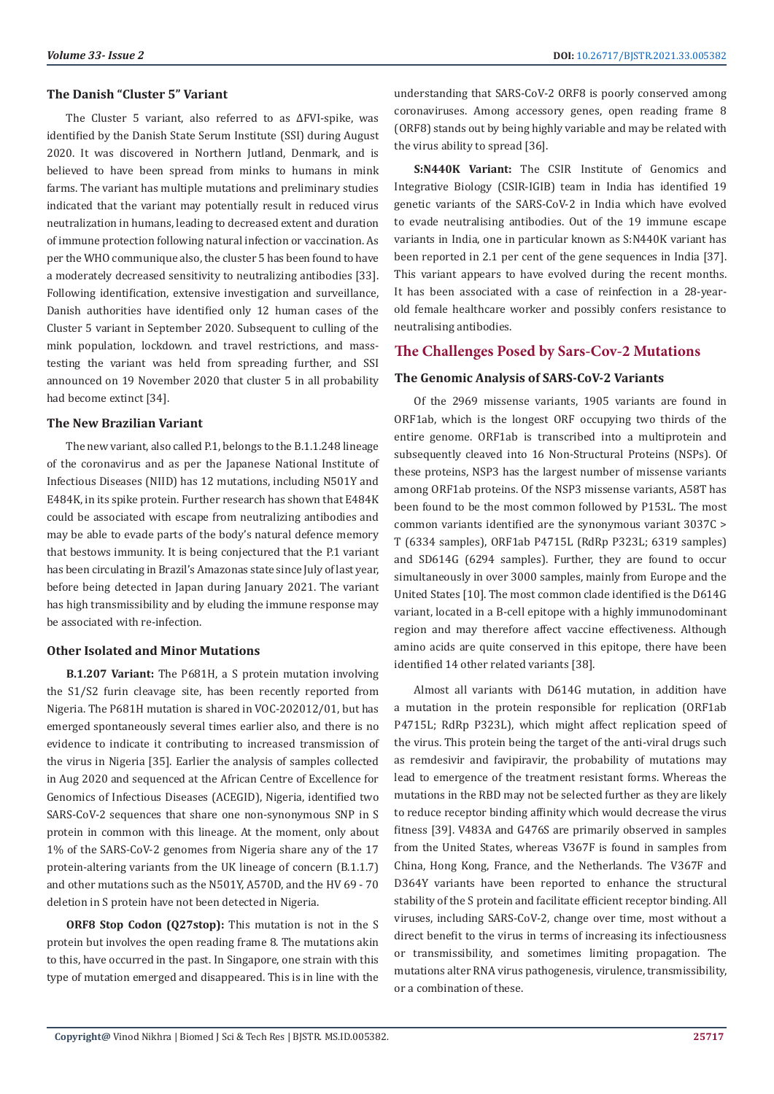# **The Danish "Cluster 5" Variant**

The Cluster 5 variant, also referred to as ΔFVI-spike, was identified by the Danish State Serum Institute (SSI) during August 2020. It was discovered in Northern Jutland, Denmark, and is believed to have been spread from minks to humans in mink farms. The variant has multiple mutations and preliminary studies indicated that the variant may potentially result in reduced virus neutralization in humans, leading to decreased extent and duration of immune protection following natural infection or vaccination. As per the WHO communique also, the cluster 5 has been found to have a moderately decreased sensitivity to neutralizing antibodies [33]. Following identification, extensive investigation and surveillance, Danish authorities have identified only 12 human cases of the Cluster 5 variant in September 2020. Subsequent to culling of the mink population, lockdown. and travel restrictions, and masstesting the variant was held from spreading further, and SSI announced on 19 November 2020 that cluster 5 in all probability had become extinct [34].

#### **The New Brazilian Variant**

The new variant, also called P.1, belongs to the B.1.1.248 lineage of the coronavirus and as per the Japanese National Institute of Infectious Diseases (NIID) has 12 mutations, including N501Y and E484K, in its spike protein. Further research has shown that E484K could be associated with escape from neutralizing antibodies and may be able to evade parts of the body's natural defence memory that bestows immunity. It is being conjectured that the P.1 variant has been circulating in Brazil's Amazonas state since July of last year, before being detected in Japan during January 2021. The variant has high transmissibility and by eluding the immune response may be associated with re-infection.

# **Other Isolated and Minor Mutations**

**B.1.207 Variant:** The P681H, a S protein mutation involving the S1/S2 furin cleavage site, has been recently reported from Nigeria. The P681H mutation is shared in VOC-202012/01, but has emerged spontaneously several times earlier also, and there is no evidence to indicate it contributing to increased transmission of the virus in Nigeria [35]. Earlier the analysis of samples collected in Aug 2020 and sequenced at the African Centre of Excellence for Genomics of Infectious Diseases (ACEGID), Nigeria, identified two SARS-CoV-2 sequences that share one non-synonymous SNP in S protein in common with this lineage. At the moment, only about 1% of the SARS-CoV-2 genomes from Nigeria share any of the 17 protein-altering variants from the UK lineage of concern (B.1.1.7) and other mutations such as the N501Y, A570D, and the HV 69 - 70 deletion in S protein have not been detected in Nigeria.

**ORF8 Stop Codon (Q27stop):** This mutation is not in the S protein but involves the open reading frame 8. The mutations akin to this, have occurred in the past. In Singapore, one strain with this type of mutation emerged and disappeared. This is in line with the understanding that SARS-CoV-2 ORF8 is poorly conserved among coronaviruses. Among accessory genes, open reading frame 8 (ORF8) stands out by being highly variable and may be related with the virus ability to spread [36].

**S:N440K Variant:** The CSIR Institute of Genomics and Integrative Biology (CSIR-IGIB) team in India has identified 19 genetic variants of the SARS-CoV-2 in India which have evolved to evade neutralising antibodies. Out of the 19 immune escape variants in India, one in particular known as S:N440K variant has been reported in 2.1 per cent of the gene sequences in India [37]. This variant appears to have evolved during the recent months. It has been associated with a case of reinfection in a 28-yearold female healthcare worker and possibly confers resistance to neutralising antibodies.

# **The Challenges Posed by Sars-Cov-2 Mutations**

# **The Genomic Analysis of SARS-CoV-2 Variants**

Of the 2969 missense variants, 1905 variants are found in ORF1ab, which is the longest ORF occupying two thirds of the entire genome. ORF1ab is transcribed into a multiprotein and subsequently cleaved into 16 Non-Structural Proteins (NSPs). Of these proteins, NSP3 has the largest number of missense variants among ORF1ab proteins. Of the NSP3 missense variants, A58T has been found to be the most common followed by P153L. The most common variants identified are the synonymous variant 3037C > T (6334 samples), ORF1ab P4715L (RdRp P323L; 6319 samples) and SD614G (6294 samples). Further, they are found to occur simultaneously in over 3000 samples, mainly from Europe and the United States [10]. The most common clade identified is the D614G variant, located in a B-cell epitope with a highly immunodominant region and may therefore affect vaccine effectiveness. Although amino acids are quite conserved in this epitope, there have been identified 14 other related variants [38].

Almost all variants with D614G mutation, in addition have a mutation in the protein responsible for replication (ORF1ab P4715L; RdRp P323L), which might affect replication speed of the virus. This protein being the target of the anti-viral drugs such as remdesivir and favipiravir, the probability of mutations may lead to emergence of the treatment resistant forms. Whereas the mutations in the RBD may not be selected further as they are likely to reduce receptor binding affinity which would decrease the virus fitness [39]. V483A and G476S are primarily observed in samples from the United States, whereas V367F is found in samples from China, Hong Kong, France, and the Netherlands. The V367F and D364Y variants have been reported to enhance the structural stability of the S protein and facilitate efficient receptor binding. All viruses, including SARS-CoV-2, change over time, most without a direct benefit to the virus in terms of increasing its infectiousness or transmissibility, and sometimes limiting propagation. The mutations alter RNA virus pathogenesis, virulence, transmissibility, or a combination of these.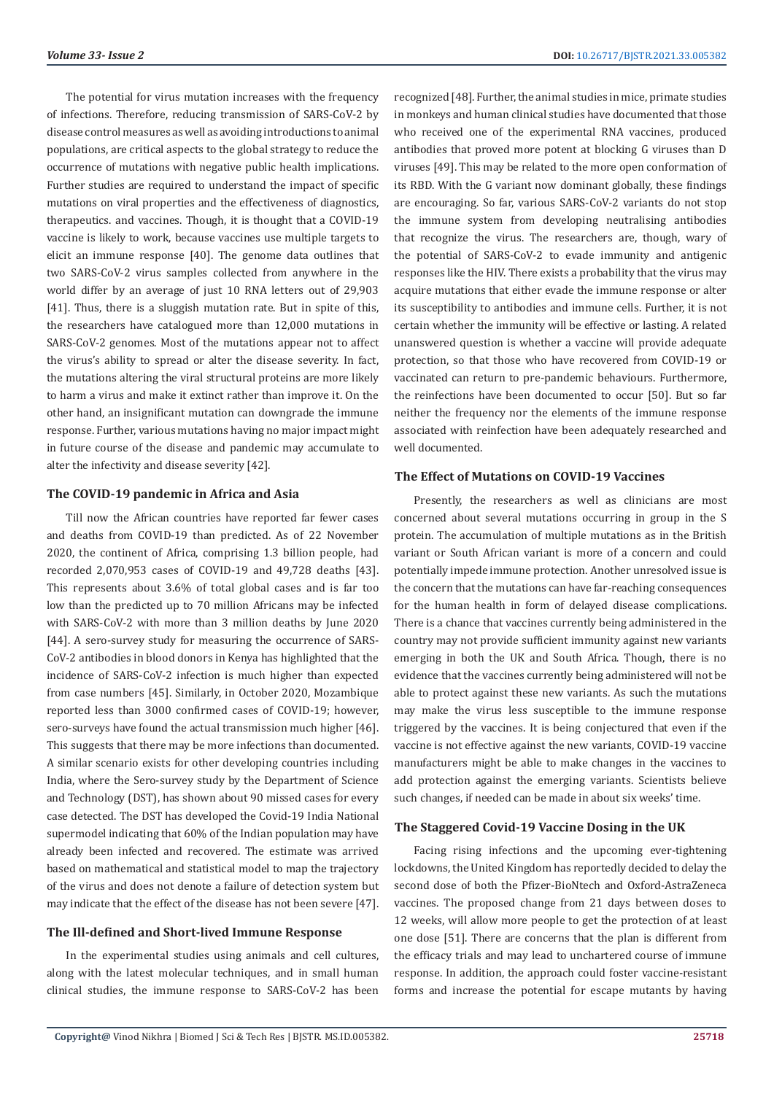The potential for virus mutation increases with the frequency of infections. Therefore, reducing transmission of SARS-CoV-2 by disease control measures as well as avoiding introductions to animal populations, are critical aspects to the global strategy to reduce the occurrence of mutations with negative public health implications. Further studies are required to understand the impact of specific mutations on viral properties and the effectiveness of diagnostics, therapeutics. and vaccines. Though, it is thought that a COVID-19 vaccine is likely to work, because vaccines use multiple targets to elicit an immune response [40]. The genome data outlines that two SARS-CoV-2 virus samples collected from anywhere in the world differ by an average of just 10 RNA letters out of 29,903 [41]. Thus, there is a sluggish mutation rate. But in spite of this, the researchers have catalogued more than 12,000 mutations in SARS-CoV-2 genomes. Most of the mutations appear not to affect the virus's ability to spread or alter the disease severity. In fact, the mutations altering the viral structural proteins are more likely to harm a virus and make it extinct rather than improve it. On the other hand, an insignificant mutation can downgrade the immune response. Further, various mutations having no major impact might in future course of the disease and pandemic may accumulate to alter the infectivity and disease severity [42].

#### **The COVID-19 pandemic in Africa and Asia**

Till now the African countries have reported far fewer cases and deaths from COVID-19 than predicted. As of 22 November 2020, the continent of Africa, comprising 1.3 billion people, had recorded 2,070,953 cases of COVID-19 and 49,728 deaths [43]. This represents about 3.6% of total global cases and is far too low than the predicted up to 70 million Africans may be infected with SARS-CoV-2 with more than 3 million deaths by June 2020 [44]. A sero-survey study for measuring the occurrence of SARS-CoV-2 antibodies in blood donors in Kenya has highlighted that the incidence of SARS-CoV-2 infection is much higher than expected from case numbers [45]. Similarly, in October 2020, Mozambique reported less than 3000 confirmed cases of COVID-19; however, sero-surveys have found the actual transmission much higher [46]. This suggests that there may be more infections than documented. A similar scenario exists for other developing countries including India, where the Sero-survey study by the Department of Science and Technology (DST), has shown about 90 missed cases for every case detected. The DST has developed the Covid-19 India National supermodel indicating that 60% of the Indian population may have already been infected and recovered. The estimate was arrived based on mathematical and statistical model to map the trajectory of the virus and does not denote a failure of detection system but may indicate that the effect of the disease has not been severe [47].

#### **The Ill-defined and Short-lived Immune Response**

In the experimental studies using animals and cell cultures, along with the latest molecular techniques, and in small human clinical studies, the immune response to SARS-CoV-2 has been

recognized [48]. Further, the animal studies in mice, primate studies in monkeys and human clinical studies have documented that those who received one of the experimental RNA vaccines, produced antibodies that proved more potent at blocking G viruses than D viruses [49]. This may be related to the more open conformation of its RBD. With the G variant now dominant globally, these findings are encouraging. So far, various SARS-CoV-2 variants do not stop the immune system from developing neutralising antibodies that recognize the virus. The researchers are, though, wary of the potential of SARS-CoV-2 to evade immunity and antigenic responses like the HIV. There exists a probability that the virus may acquire mutations that either evade the immune response or alter its susceptibility to antibodies and immune cells. Further, it is not certain whether the immunity will be effective or lasting. A related unanswered question is whether a vaccine will provide adequate protection, so that those who have recovered from COVID-19 or vaccinated can return to pre-pandemic behaviours. Furthermore, the reinfections have been documented to occur [50]. But so far neither the frequency nor the elements of the immune response associated with reinfection have been adequately researched and well documented.

#### **The Effect of Mutations on COVID-19 Vaccines**

Presently, the researchers as well as clinicians are most concerned about several mutations occurring in group in the S protein. The accumulation of multiple mutations as in the British variant or South African variant is more of a concern and could potentially impede immune protection. Another unresolved issue is the concern that the mutations can have far-reaching consequences for the human health in form of delayed disease complications. There is a chance that vaccines currently being administered in the country may not provide sufficient immunity against new variants emerging in both the UK and South Africa. Though, there is no evidence that the vaccines currently being administered will not be able to protect against these new variants. As such the mutations may make the virus less susceptible to the immune response triggered by the vaccines. It is being conjectured that even if the vaccine is not effective against the new variants, COVID-19 vaccine manufacturers might be able to make changes in the vaccines to add protection against the emerging variants. Scientists believe such changes, if needed can be made in about six weeks' time.

#### **The Staggered Covid-19 Vaccine Dosing in the UK**

Facing rising infections and the upcoming ever-tightening lockdowns, the United Kingdom has reportedly decided to delay the second dose of both the Pfizer-BioNtech and Oxford-AstraZeneca vaccines. The proposed change from 21 days between doses to 12 weeks, will allow more people to get the protection of at least one dose [51]. There are concerns that the plan is different from the efficacy trials and may lead to unchartered course of immune response. In addition, the approach could foster vaccine-resistant forms and increase the potential for escape mutants by having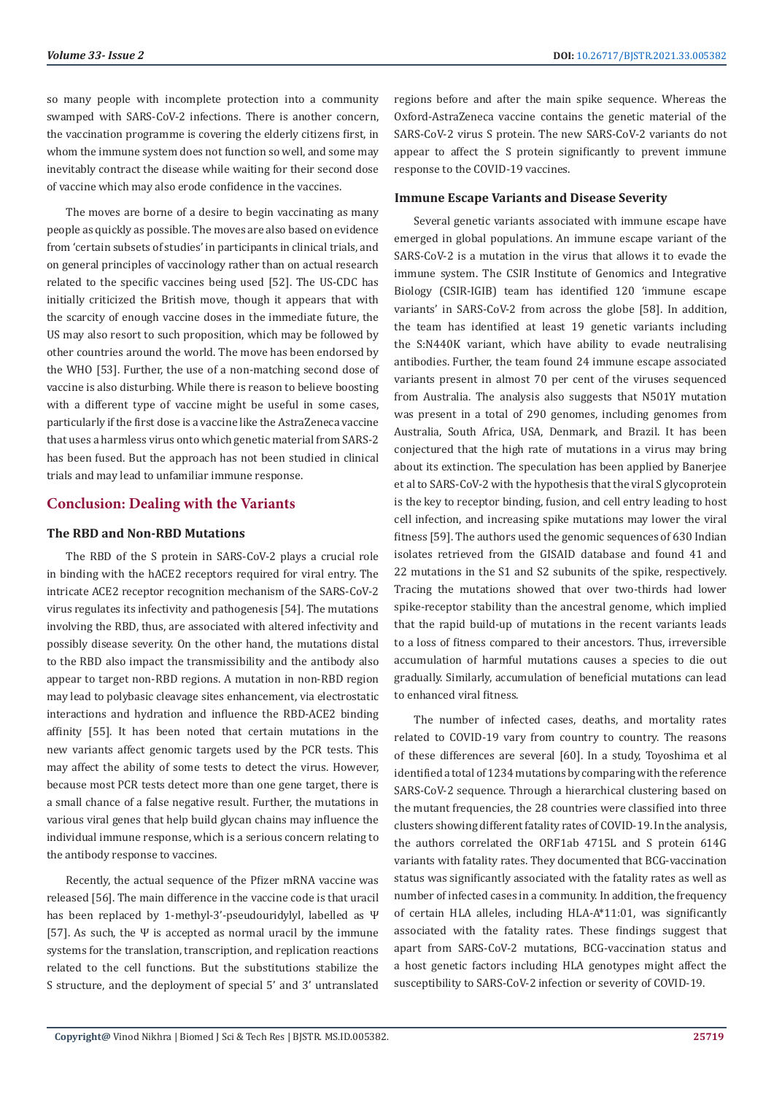so many people with incomplete protection into a community swamped with SARS-CoV-2 infections. There is another concern, the vaccination programme is covering the elderly citizens first, in whom the immune system does not function so well, and some may inevitably contract the disease while waiting for their second dose of vaccine which may also erode confidence in the vaccines.

The moves are borne of a desire to begin vaccinating as many people as quickly as possible. The moves are also based on evidence from 'certain subsets of studies' in participants in clinical trials, and on general principles of vaccinology rather than on actual research related to the specific vaccines being used [52]. The US-CDC has initially criticized the British move, though it appears that with the scarcity of enough vaccine doses in the immediate future, the US may also resort to such proposition, which may be followed by other countries around the world. The move has been endorsed by the WHO [53]. Further, the use of a non-matching second dose of vaccine is also disturbing. While there is reason to believe boosting with a different type of vaccine might be useful in some cases, particularly if the first dose is a vaccine like the AstraZeneca vaccine that uses a harmless virus onto which genetic material from SARS-2 has been fused. But the approach has not been studied in clinical trials and may lead to unfamiliar immune response.

# **Conclusion: Dealing with the Variants**

# **The RBD and Non-RBD Mutations**

The RBD of the S protein in SARS-CoV-2 plays a crucial role in binding with the hACE2 receptors required for viral entry. The intricate ACE2 receptor recognition mechanism of the SARS-CoV-2 virus regulates its infectivity and pathogenesis [54]. The mutations involving the RBD, thus, are associated with altered infectivity and possibly disease severity. On the other hand, the mutations distal to the RBD also impact the transmissibility and the antibody also appear to target non-RBD regions. A mutation in non-RBD region may lead to polybasic cleavage sites enhancement, via electrostatic interactions and hydration and influence the RBD-ACE2 binding affinity [55]. It has been noted that certain mutations in the new variants affect genomic targets used by the PCR tests. This may affect the ability of some tests to detect the virus. However, because most PCR tests detect more than one gene target, there is a small chance of a false negative result. Further, the mutations in various viral genes that help build glycan chains may influence the individual immune response, which is a serious concern relating to the antibody response to vaccines.

Recently, the actual sequence of the Pfizer mRNA vaccine was released [56]. The main difference in the vaccine code is that uracil has been replaced by 1-methyl-3'-pseudouridylyl, labelled as Ψ [57]. As such, the Ψ is accepted as normal uracil by the immune systems for the translation, transcription, and replication reactions related to the cell functions. But the substitutions stabilize the S structure, and the deployment of special 5' and 3' untranslated

regions before and after the main spike sequence. Whereas the Oxford-AstraZeneca vaccine contains the genetic material of the SARS-CoV-2 virus S protein. The new SARS-CoV-2 variants do not appear to affect the S protein significantly to prevent immune response to the COVID-19 vaccines.

#### **Immune Escape Variants and Disease Severity**

Several genetic variants associated with immune escape have emerged in global populations. An immune escape variant of the SARS-CoV-2 is a mutation in the virus that allows it to evade the immune system. The CSIR Institute of Genomics and Integrative Biology (CSIR-IGIB) team has identified 120 'immune escape variants' in SARS-CoV-2 from across the globe [58]. In addition, the team has identified at least 19 genetic variants including the S:N440K variant, which have ability to evade neutralising antibodies. Further, the team found 24 immune escape associated variants present in almost 70 per cent of the viruses sequenced from Australia. The analysis also suggests that N501Y mutation was present in a total of 290 genomes, including genomes from Australia, South Africa, USA, Denmark, and Brazil. It has been conjectured that the high rate of mutations in a virus may bring about its extinction. The speculation has been applied by Banerjee et al to SARS-CoV-2 with the hypothesis that the viral S glycoprotein is the key to receptor binding, fusion, and cell entry leading to host cell infection, and increasing spike mutations may lower the viral fitness [59]. The authors used the genomic sequences of 630 Indian isolates retrieved from the GISAID database and found 41 and 22 mutations in the S1 and S2 subunits of the spike, respectively. Tracing the mutations showed that over two-thirds had lower spike-receptor stability than the ancestral genome, which implied that the rapid build-up of mutations in the recent variants leads to a loss of fitness compared to their ancestors. Thus, irreversible accumulation of harmful mutations causes a species to die out gradually. Similarly, accumulation of beneficial mutations can lead to enhanced viral fitness.

The number of infected cases, deaths, and mortality rates related to COVID-19 vary from country to country. The reasons of these differences are several [60]. In a study, Toyoshima et al identified a total of 1234 mutations by comparing with the reference SARS-CoV-2 sequence. Through a hierarchical clustering based on the mutant frequencies, the 28 countries were classified into three clusters showing different fatality rates of COVID-19. In the analysis, the authors correlated the ORF1ab 4715L and S protein 614G variants with fatality rates. They documented that BCG-vaccination status was significantly associated with the fatality rates as well as number of infected cases in a community. In addition, the frequency of certain HLA alleles, including HLA-A\*11:01, was significantly associated with the fatality rates. These findings suggest that apart from SARS-CoV-2 mutations, BCG-vaccination status and a host genetic factors including HLA genotypes might affect the susceptibility to SARS-CoV-2 infection or severity of COVID-19.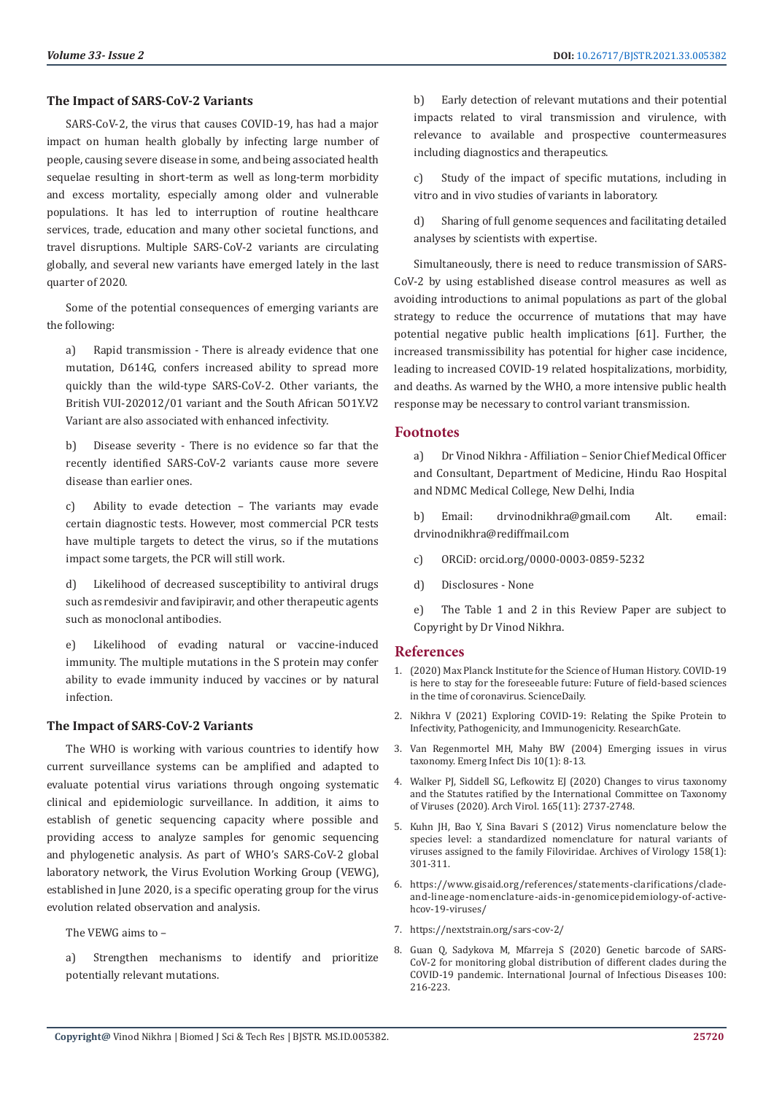#### **The Impact of SARS-CoV-2 Variants**

SARS-CoV-2, the virus that causes COVID-19, has had a major impact on human health globally by infecting large number of people, causing severe disease in some, and being associated health sequelae resulting in short-term as well as long-term morbidity and excess mortality, especially among older and vulnerable populations. It has led to interruption of routine healthcare services, trade, education and many other societal functions, and travel disruptions. Multiple SARS-CoV-2 variants are circulating globally, and several new variants have emerged lately in the last quarter of 2020.

Some of the potential consequences of emerging variants are the following:

a) Rapid transmission - There is already evidence that one mutation, D614G, confers increased ability to spread more quickly than the wild-type SARS-CoV-2. Other variants, the British VUI-202012/01 variant and the South African 5O1Y.V2 Variant are also associated with enhanced infectivity.

b) Disease severity - There is no evidence so far that the recently identified SARS-CoV-2 variants cause more severe disease than earlier ones.

c) Ability to evade detection – The variants may evade certain diagnostic tests. However, most commercial PCR tests have multiple targets to detect the virus, so if the mutations impact some targets, the PCR will still work.

d) Likelihood of decreased susceptibility to antiviral drugs such as remdesivir and favipiravir, and other therapeutic agents such as monoclonal antibodies.

e) Likelihood of evading natural or vaccine-induced immunity. The multiple mutations in the S protein may confer ability to evade immunity induced by vaccines or by natural infection.

#### **The Impact of SARS-CoV-2 Variants**

The WHO is working with various countries to identify how current surveillance systems can be amplified and adapted to evaluate potential virus variations through ongoing systematic clinical and epidemiologic surveillance. In addition, it aims to establish of genetic sequencing capacity where possible and providing access to analyze samples for genomic sequencing and phylogenetic analysis. As part of WHO's SARS-CoV-2 global laboratory network, the Virus Evolution Working Group (VEWG), established in June 2020, is a specific operating group for the virus evolution related observation and analysis.

The VEWG aims to –

a) Strengthen mechanisms to identify and prioritize potentially relevant mutations.

b) Early detection of relevant mutations and their potential impacts related to viral transmission and virulence, with relevance to available and prospective countermeasures including diagnostics and therapeutics.

c) Study of the impact of specific mutations, including in vitro and in vivo studies of variants in laboratory.

d) Sharing of full genome sequences and facilitating detailed analyses by scientists with expertise.

Simultaneously, there is need to reduce transmission of SARS-CoV-2 by using established disease control measures as well as avoiding introductions to animal populations as part of the global strategy to reduce the occurrence of mutations that may have potential negative public health implications [61]. Further, the increased transmissibility has potential for higher case incidence, leading to increased COVID-19 related hospitalizations, morbidity, and deaths. As warned by the WHO, a more intensive public health response may be necessary to control variant transmission.

# **Footnotes**

a) Dr Vinod Nikhra - Affiliation – Senior Chief Medical Officer and Consultant, Department of Medicine, Hindu Rao Hospital and NDMC Medical College, New Delhi, India

b) Email: drvinodnikhra@gmail.com Alt. email: drvinodnikhra@rediffmail.com

- c) ORCiD: orcid.org/0000-0003-0859-5232
- d) Disclosures None

e) The Table 1 and 2 in this Review Paper are subject to Copyright by Dr Vinod Nikhra.

#### **References**

- 1. [\(2020\) Max Planck Institute for the Science of Human History. COVID-19](https://www.sciencedaily.com/releases/2020/09/200914112206.htm) [is here to stay for the foreseeable future: Future of field-based sciences](https://www.sciencedaily.com/releases/2020/09/200914112206.htm) [in the time of coronavirus. ScienceDaily.](https://www.sciencedaily.com/releases/2020/09/200914112206.htm)
- 2. [Nikhra V \(2021\) Exploring COVID-19: Relating the Spike Protein to](https://www.researchgate.net/publication/348432437_Exploring_COVID-19_Relating_the_Spike_Protein_to_Infectivity_Pathogenicity_and_Immunogenicity) [Infectivity, Pathogenicity, and Immunogenicity. ResearchGate.](https://www.researchgate.net/publication/348432437_Exploring_COVID-19_Relating_the_Spike_Protein_to_Infectivity_Pathogenicity_and_Immunogenicity)
- 3. [Van Regenmortel MH, Mahy BW \(2004\) Emerging issues in virus](https://www.ncbi.nlm.nih.gov/pmc/articles/PMC3322749/) [taxonomy. Emerg Infect Dis 10\(1\): 8-13.](https://www.ncbi.nlm.nih.gov/pmc/articles/PMC3322749/)
- 4. [Walker PJ, Siddell SG, Lefkowitz EJ \(2020\) Changes to virus taxonomy](https://pubmed.ncbi.nlm.nih.gov/32816125/) [and the Statutes ratified by the International Committee on Taxonomy](https://pubmed.ncbi.nlm.nih.gov/32816125/) [of Viruses \(2020\). Arch Virol. 165\(11\): 2737-2748.](https://pubmed.ncbi.nlm.nih.gov/32816125/)
- 5. [Kuhn JH, Bao Y, Sina Bavari S \(2012\) Virus nomenclature below the](https://pubmed.ncbi.nlm.nih.gov/23001720/) [species level: a standardized nomenclature for natural variants of](https://pubmed.ncbi.nlm.nih.gov/23001720/) [viruses assigned to the family Filoviridae. Archives of Virology 158\(1\):](https://pubmed.ncbi.nlm.nih.gov/23001720/) [301-311.](https://pubmed.ncbi.nlm.nih.gov/23001720/)
- 6. [https://www.gisaid.org/references/statements-clarifications/clade](https://www.gisaid.org/references/statements-clarifications/clade-and-lineage-nomenclature-aids-in-genomicepidemiology-of-active-hcov-19-viruses/)[and-lineage-nomenclature-aids-in-genomicepidemiology-of-active](https://www.gisaid.org/references/statements-clarifications/clade-and-lineage-nomenclature-aids-in-genomicepidemiology-of-active-hcov-19-viruses/)[hcov-19-viruses/](https://www.gisaid.org/references/statements-clarifications/clade-and-lineage-nomenclature-aids-in-genomicepidemiology-of-active-hcov-19-viruses/)
- 7. <https://nextstrain.org/sars-cov-2/>
- 8. [Guan Q, Sadykova M, Mfarreja S \(2020\) Genetic barcode of SARS-](https://pubmed.ncbi.nlm.nih.gov/32841689/)[CoV-2 for monitoring global distribution of different clades during the](https://pubmed.ncbi.nlm.nih.gov/32841689/) [COVID-19 pandemic. International Journal of Infectious Diseases 100:](https://pubmed.ncbi.nlm.nih.gov/32841689/) [216-223.](https://pubmed.ncbi.nlm.nih.gov/32841689/)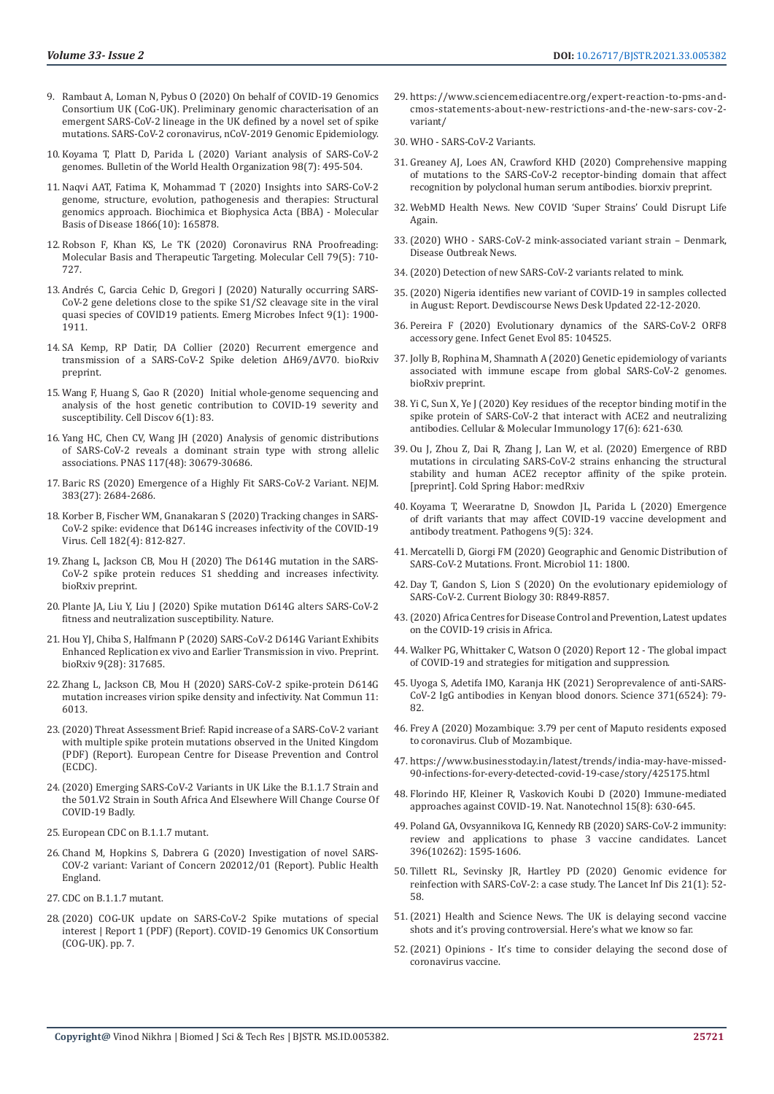- 9. [Rambaut A, Loman N, Pybus O \(2020\) On behalf of COVID-19 Genomics](https://virological.org/t/preliminary-genomic-characterisation-of-an-emergent-sars-cov-2-lineage-in-the-uk-defined-by-a-novel-set-of-spike-mutations/563)  [Consortium UK \(CoG-UK\). Preliminary genomic characterisation of an](https://virological.org/t/preliminary-genomic-characterisation-of-an-emergent-sars-cov-2-lineage-in-the-uk-defined-by-a-novel-set-of-spike-mutations/563)  [emergent SARS-CoV-2 lineage in the UK defined by a novel set of spike](https://virological.org/t/preliminary-genomic-characterisation-of-an-emergent-sars-cov-2-lineage-in-the-uk-defined-by-a-novel-set-of-spike-mutations/563)  [mutations. SARS-CoV-2 coronavirus, nCoV-2019 Genomic Epidemiology.](https://virological.org/t/preliminary-genomic-characterisation-of-an-emergent-sars-cov-2-lineage-in-the-uk-defined-by-a-novel-set-of-spike-mutations/563)
- 10. [Koyama T, Platt D, Parida L \(2020\) Variant analysis of SARS-CoV-2](https://www.ncbi.nlm.nih.gov/pmc/articles/PMC7375210/)  [genomes. Bulletin of the World Health Organization 98\(7\): 495-504.](https://www.ncbi.nlm.nih.gov/pmc/articles/PMC7375210/)
- 11. [Naqvi AAT, Fatima K, Mohammad T \(2020\) Insights into SARS-CoV-2](https://pubmed.ncbi.nlm.nih.gov/32544429/)  [genome, structure, evolution, pathogenesis and therapies: Structural](https://pubmed.ncbi.nlm.nih.gov/32544429/)  [genomics approach. Biochimica et Biophysica Acta \(BBA\) - Molecular](https://pubmed.ncbi.nlm.nih.gov/32544429/)  [Basis of Disease 1866\(10\): 165878.](https://pubmed.ncbi.nlm.nih.gov/32544429/)
- 12. [Robson F, Khan KS, Le TK \(2020\) Coronavirus RNA Proofreading:](https://pubmed.ncbi.nlm.nih.gov/32853546/)  [Molecular Basis and Therapeutic Targeting. Molecular Cell 79\(5\): 710-](https://pubmed.ncbi.nlm.nih.gov/32853546/) [727.](https://pubmed.ncbi.nlm.nih.gov/32853546/)
- 13. [Andrés C, Garcia Cehic D, Gregori J \(2020\) Naturally occurring SARS-](https://pubmed.ncbi.nlm.nih.gov/32752979/)[CoV-2 gene deletions close to the spike S1/S2 cleavage site in the viral](https://pubmed.ncbi.nlm.nih.gov/32752979/)  [quasi species of COVID19 patients. Emerg Microbes Infect 9\(1\): 1900-](https://pubmed.ncbi.nlm.nih.gov/32752979/) [1911.](https://pubmed.ncbi.nlm.nih.gov/32752979/)
- 14. [SA Kemp, RP Datir, DA Collier \(2020\) Recurrent emergence and](https://www.biorxiv.org/content/10.1101/2020.12.14.422555v2)  [transmission of a SARS-CoV-2 Spike deletion ΔH69/ΔV70. bioRxiv](https://www.biorxiv.org/content/10.1101/2020.12.14.422555v2)  [preprint.](https://www.biorxiv.org/content/10.1101/2020.12.14.422555v2)
- 15. [Wang F, Huang S, Gao R \(2020\) Initial whole-genome sequencing and](https://pubmed.ncbi.nlm.nih.gov/33298875/)  [analysis of the host genetic contribution to COVID-19 severity and](https://pubmed.ncbi.nlm.nih.gov/33298875/)  [susceptibility. Cell Discov 6\(1\): 83.](https://pubmed.ncbi.nlm.nih.gov/33298875/)
- 16. [Yang HC, Chen CV, Wang JH \(2020\) Analysis of genomic distributions](https://www.pnas.org/content/117/48/30679)  [of SARS-CoV-2 reveals a dominant strain type with strong allelic](https://www.pnas.org/content/117/48/30679)  [associations. PNAS 117\(48\): 30679-30686.](https://www.pnas.org/content/117/48/30679)
- 17. [Baric RS \(2020\) Emergence of a Highly Fit SARS-CoV-2 Variant. NEJM.](https://pubmed.ncbi.nlm.nih.gov/33326716/)  [383\(27\): 2684-2686.](https://pubmed.ncbi.nlm.nih.gov/33326716/)
- 18. [Korber B, Fischer WM, Gnanakaran S \(2020\) Tracking changes in SARS-](https://www.sciencedirect.com/science/article/pii/S0092867420308205)[CoV-2 spike: evidence that D614G increases infectivity of the COVID-19](https://www.sciencedirect.com/science/article/pii/S0092867420308205)  [Virus. Cell 182\(4\): 812-827.](https://www.sciencedirect.com/science/article/pii/S0092867420308205)
- 19. Zhang L, Jackson CB, Mou H (2020) The D614G mutation in the SARS-CoV-2 spike protein reduces S1 shedding and increases infectivity. bioRxiv preprint.
- 20. [Plante JA, Liu Y, Liu J \(2020\) Spike mutation D614G alters SARS-CoV-2](https://www.nature.com/articles/s41586-020-2895-3)  [fitness and neutralization susceptibility. Nature.](https://www.nature.com/articles/s41586-020-2895-3)
- 21. [Hou YJ, Chiba S, Halfmann P \(2020\) SARS-CoV-2 D614G Variant Exhibits](https://www.ncbi.nlm.nih.gov/pmc/articles/PMC7536872/)  [Enhanced Replication ex vivo and Earlier Transmission in vivo. Preprint.](https://www.ncbi.nlm.nih.gov/pmc/articles/PMC7536872/)  [bioRxiv 9\(28\): 317685.](https://www.ncbi.nlm.nih.gov/pmc/articles/PMC7536872/)
- 22. [Zhang L, Jackson CB, Mou H \(2020\) SARS-CoV-2 spike-protein D614G](https://www.nature.com/articles/s41467-020-19808-4)  [mutation increases virion spike density and infectivity. Nat Commun 11:](https://www.nature.com/articles/s41467-020-19808-4)  [6013.](https://www.nature.com/articles/s41467-020-19808-4)
- 23.(2020) Threat Assessment Brief: Rapid increase of a SARS-CoV-2 variant with multiple spike protein mutations observed in the United Kingdom (PDF) (Report). European Centre for Disease Prevention and Control (ECDC).
- 24.[\(2020\) Emerging SARS-CoV-2 Variants in UK Like the B.1.1.7 Strain and](https://www.biogenetech.co.th/wp-content/uploads/2020/12/2-Emerging.pdf)  [the 501.V2 Strain in South Africa And Elsewhere Will Change Course Of](https://www.biogenetech.co.th/wp-content/uploads/2020/12/2-Emerging.pdf)  [COVID-19 Badly.](https://www.biogenetech.co.th/wp-content/uploads/2020/12/2-Emerging.pdf)
- 25. [European CDC on B.1.1.7 mutant.](https://www.ecdc.europa.eu/sites/default/files/documents/SARS-CoV-2-variant-multiple-spike-protein-mutations-United-Kingdom.pdf)
- 26. [Chand M, Hopkins S, Dabrera G \(2020\) Investigation of novel SARS-](https://assets.publishing.service.gov.uk/government/uploads/system/uploads/attachment_data/file/950823/Variant_of_Concern_VOC_202012_01_Technical_Briefing_3_-_England.pdf)[COV-2 variant: Variant of Concern 202012/01 \(Report\). Public Health](https://assets.publishing.service.gov.uk/government/uploads/system/uploads/attachment_data/file/950823/Variant_of_Concern_VOC_202012_01_Technical_Briefing_3_-_England.pdf)  [England.](https://assets.publishing.service.gov.uk/government/uploads/system/uploads/attachment_data/file/950823/Variant_of_Concern_VOC_202012_01_Technical_Briefing_3_-_England.pdf)
- 27. CDC on B.1.1.7 mutant.
- 28.[\(2020\) COG-UK update on SARS-CoV-2 Spike mutations of special](https://www.cogconsortium.uk/wp-content/uploads/2021/01/Report-2_COG-UK_SARS-CoV-2-Mutations.pdf)  [interest | Report 1 \(PDF\) \(Report\). COVID-19 Genomics UK Consortium](https://www.cogconsortium.uk/wp-content/uploads/2021/01/Report-2_COG-UK_SARS-CoV-2-Mutations.pdf)  [\(COG-UK\). pp. 7.](https://www.cogconsortium.uk/wp-content/uploads/2021/01/Report-2_COG-UK_SARS-CoV-2-Mutations.pdf)
- 29. [https://www.sciencemediacentre.org/expert-reaction-to-pms-and](https://www.sciencemediacentre.org/expert-reaction-to-pms-and-cmos-statements-about-new-restrictions-and-the-new-sars-cov-2-variant/)[cmos-statements-about-new-restrictions-and-the-new-sars-cov-2](https://www.sciencemediacentre.org/expert-reaction-to-pms-and-cmos-statements-about-new-restrictions-and-the-new-sars-cov-2-variant/) [variant/](https://www.sciencemediacentre.org/expert-reaction-to-pms-and-cmos-statements-about-new-restrictions-and-the-new-sars-cov-2-variant/)
- 30. [WHO SARS-CoV-2 Variants.](https://www.who.int/csr/don/31-december-2020-sars-cov2-variants/en/)
- 31. [Greaney AJ, Loes AN, Crawford KHD \(2020\) Comprehensive mapping](https://www.biorxiv.org/content/10.1101/2020.12.31.425021v1) [of mutations to the SARS-CoV-2 receptor-binding domain that affect](https://www.biorxiv.org/content/10.1101/2020.12.31.425021v1) [recognition by polyclonal human serum antibodies. biorxiv preprint.](https://www.biorxiv.org/content/10.1101/2020.12.31.425021v1)
- 32. [WebMD Health News. New COVID 'Super Strains' Could Disrupt Life](https://www.webmd.com/lung/news/20210107/new-covid-super-strains-could-disrupt-life-again) [Again.](https://www.webmd.com/lung/news/20210107/new-covid-super-strains-could-disrupt-life-again)
- 33.[\(2020\) WHO SARS-CoV-2 mink-associated variant strain Denmark,](https://www.who.int/csr/don/06-november-2020-mink-associated-sars-cov2-denmark/en/) [Disease Outbreak News.](https://www.who.int/csr/don/06-november-2020-mink-associated-sars-cov2-denmark/en/)
- 34.[\(2020\) Detection of new SARS-CoV-2 variants related to mink.](https://www.ecdc.europa.eu/sites/default/files/documents/RRA-SARS-CoV-2-in-mink-12-nov-2020.pdf)
- 35.[\(2020\) Nigeria identifies new variant of COVID-19 in samples collected](https://www.devdiscourse.com/news-source/Devdiscourse%20News%20Desk) [in August: Report. Devdiscourse News Desk Updated 22-12-2020.](https://www.devdiscourse.com/news-source/Devdiscourse%20News%20Desk)
- 36. [Pereira F \(2020\) Evolutionary dynamics of the SARS-CoV-2 ORF8](https://www.researchgate.net/publication/344089246_Evolutionary_dynamics_of_the_SARS-CoV-2_ORF8_accessory_gene) [accessory gene. Infect Genet Evol 85: 104525.](https://www.researchgate.net/publication/344089246_Evolutionary_dynamics_of_the_SARS-CoV-2_ORF8_accessory_gene)
- 37. Jolly B, Rophina M, Shamnath A (2020) Genetic epidemiology of variants associated with immune escape from global SARS-CoV-2 genomes. bioRxiv preprint.
- 38. [Yi C, Sun X, Ye J \(2020\) Key residues of the receptor binding motif in the](https://pubmed.ncbi.nlm.nih.gov/32415260/) [spike protein of SARS-CoV-2 that interact with ACE2 and neutralizing](https://pubmed.ncbi.nlm.nih.gov/32415260/) [antibodies. Cellular & Molecular Immunology 17\(6\): 621-630.](https://pubmed.ncbi.nlm.nih.gov/32415260/)
- 39. Ou J, Zhou Z, Dai R, Zhang J, Lan W, et al. (2020) Emergence of RBD mutations in circulating SARS-CoV-2 strains enhancing the structural stability and human ACE2 receptor affinity of the spike protein. [preprint]. Cold Spring Habor: medRxiv
- 40. [Koyama T, Weeraratne D, Snowdon JL, Parida L \(2020\) Emergence](https://pubmed.ncbi.nlm.nih.gov/32357545/) [of drift variants that may affect COVID-19 vaccine development and](https://pubmed.ncbi.nlm.nih.gov/32357545/) [antibody treatment. Pathogens 9\(5\): 324.](https://pubmed.ncbi.nlm.nih.gov/32357545/)
- 41. [Mercatelli D, Giorgi FM \(2020\) Geographic and Genomic Distribution of](https://www.ncbi.nlm.nih.gov/pmc/articles/PMC7387429/) [SARS-CoV-2 Mutations. Front. Microbiol 11: 1800.](https://www.ncbi.nlm.nih.gov/pmc/articles/PMC7387429/)
- 42. [Day T, Gandon S, Lion S \(2020\) On the evolutionary epidemiology of](https://www.cell.com/current-biology/pdf/S0960-9822(20)30847-2.pdf) [SARS-CoV-2. Current Biology 30: R849-R857.](https://www.cell.com/current-biology/pdf/S0960-9822(20)30847-2.pdf)
- 43.[\(2020\) Africa Centres for Disease Control and Prevention, Latest updates](https://africacdc.org/covid-19/) [on the COVID-19 crisis in Africa.](https://africacdc.org/covid-19/)
- 44. [Walker PG, Whittaker C, Watson O \(2020\) Report 12 The global impact](http://www.imperial.ac.uk/mrc-global-infectious-disease-analysis/covid-19/report-12-global-impact-covid-19/) [of COVID-19 and strategies for mitigation and suppression.](http://www.imperial.ac.uk/mrc-global-infectious-disease-analysis/covid-19/report-12-global-impact-covid-19/)
- 45. Uyoga S, Adetifa IMO, Karanja HK (2021) Seroprevalence of anti-SARS-CoV-2 IgG antibodies in Kenyan blood donors. Science 371(6524): 79- 82
- 46. [Frey A \(2020\) Mozambique: 3.79 per cent of Maputo residents exposed](https://clubofmozambique.com/news/mozambique-3-79-per-cent-of-maputo-residents-exposed-to-coronavirus-170252/) [to coronavirus. Club of Mozambique.](https://clubofmozambique.com/news/mozambique-3-79-per-cent-of-maputo-residents-exposed-to-coronavirus-170252/)
- 47. [https://www.businesstoday.in/latest/trends/india-may-have-missed-](https://www.businesstoday.in/latest/trends/india-may-have-missed-90-infections-for-every-detected-covid-19-case/story/425175.html)[90-infections-for-every-detected-covid-19-case/story/425175.html](https://www.businesstoday.in/latest/trends/india-may-have-missed-90-infections-for-every-detected-covid-19-case/story/425175.html)
- 48. [Florindo HF, Kleiner R, Vaskovich Koubi D \(2020\) Immune-mediated](https://pubmed.ncbi.nlm.nih.gov/32661375/) [approaches against COVID-19. Nat. Nanotechnol 15\(8\): 630-645.](https://pubmed.ncbi.nlm.nih.gov/32661375/)
- 49. [Poland GA, Ovsyannikova IG, Kennedy RB \(2020\) SARS-CoV-2 immunity:](https://www.thelancet.com/journals/lancet/article/PIIS0140-6736(20)32137-1/fulltext) [review and applications to phase 3 vaccine candidates. Lancet](https://www.thelancet.com/journals/lancet/article/PIIS0140-6736(20)32137-1/fulltext) [396\(10262\): 1595-1606.](https://www.thelancet.com/journals/lancet/article/PIIS0140-6736(20)32137-1/fulltext)
- 50. [Tillett RL, Sevinsky JR, Hartley PD \(2020\) Genomic evidence for](https://www.thelancet.com/journals/laninf/article/PIIS1473-3099(20)30764-7/fulltext) [reinfection with SARS-CoV-2: a case study. The Lancet Inf Dis 21\(1\): 52-](https://www.thelancet.com/journals/laninf/article/PIIS1473-3099(20)30764-7/fulltext) [58.](https://www.thelancet.com/journals/laninf/article/PIIS1473-3099(20)30764-7/fulltext)
- 51.[\(2021\) Health and Science News. The UK is delaying second vaccine](https://www.cnbc.com/2021/01/05/the-uk-is-delaying-second-pfizer/biontech-shot-heres-what-we-know.html) [shots and it's proving controversial. Here's what we know so far.](https://www.cnbc.com/2021/01/05/the-uk-is-delaying-second-pfizer/biontech-shot-heres-what-we-know.html)
- 52.[\(2021\) Opinions It's time to consider delaying the second dose of](https://www.washingtonpost.com/opinions/2021/01/03/its-time-consider-delaying-second-dose-coronavirus-vaccine/) [coronavirus vaccine.](https://www.washingtonpost.com/opinions/2021/01/03/its-time-consider-delaying-second-dose-coronavirus-vaccine/)